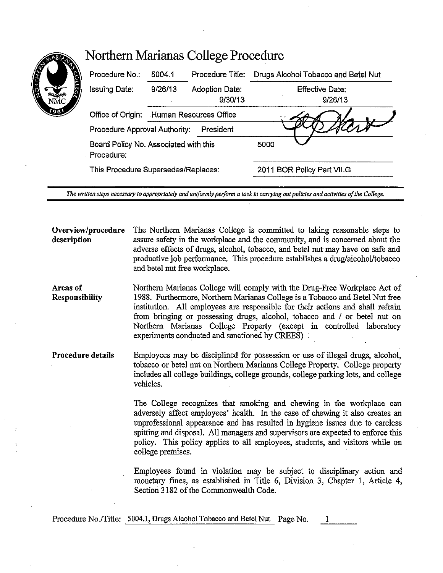| Procedure No.:                                      | 5004.1                                   | Procedure Title:          | Drugs Alcohol Tobacco and Betel Nut |
|-----------------------------------------------------|------------------------------------------|---------------------------|-------------------------------------|
| <b>Issuing Date:</b>                                | 9/26/13                                  | Adoption Date:<br>9/30/13 | <b>Effective Date:</b><br>9/26/13   |
|                                                     | Office of Origin: Human Resources Office |                           |                                     |
| Procedure Approval Authority:                       |                                          | President                 |                                     |
| Board Policy No. Associated with this<br>Procedure: |                                          |                           | 5000                                |
| This Procedure Supersedes/Replaces:                 |                                          |                           | 2011 BOR Policy Part VII.G          |

Northern Marianas College Procedure

*The written steps necessary to appropriately and uniformly perform a task in carrying out policies and activities of the College.* 

**Overview/procedure description**  The Northern Marianas College is committed to taking reasonable steps to assure safety in the workplace and the community, and is concerned about the adverse effects of drugs, alcohol, tobacco, and betel nut may have on safe and productive job performance. This procedure establishes a drug/alcohol/tobacco and betel nut free workplace.

**Areas of Responsibility**  Northern Marianas College will comply with the Drug-Free Workplace Act of 1988. Furthermore, Northern Marianas College is a Tobacco and Betel Nut free institution. All employees are responsible for their actions and shall refrain from bringing or possessing drugs, alcohol, tobacco and / or betel nut on Northern Marianas College Property (except in controlled laboratory experiments conducted and sanctioned by CREES)

**Procedure details**  Employees may be disciplined for possession or use of illegal drugs, alcohol, tobacco or betel nut on Northern Marianas College Property. College property includes all college buildings, college grounds, college parking lots, and college vehicles.

> The College recognizes that smoking and chewing in the workplace can adversely affect employees' health. In the case of chewing it also creates an unprofessional appearance and has resulted in hygiene issues due to careless spitting and disposal. All managers and supervisors are expected to enforce this policy. This policy applies to all employees, students, and visitors while on college premises,

> Employees found in violation may be subject to disciplinary action and monetary fines, as established in Title 6, Division 3, Chapter 1, Article 4, Section 3182 of the Commonwealth Code.

Procedure No./Title: 5004.1, Drugs Alcohol Tobacco and Betel Nut Page No.